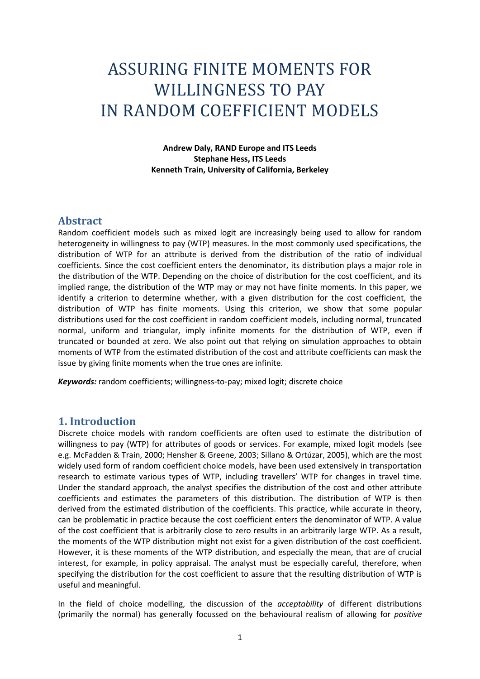# ASSURING FINITE MOMENTS FOR WILLINGNESS TO PAY IN RANDOM COEFFICIENT MODELS

**Andrew Daly, RAND Europe and ITS Leeds Stephane Hess, ITS Leeds Kenneth Train, University of California, Berkeley**

# **Abstract**

Random coefficient models such as mixed logit are increasingly being used to allow for random heterogeneity in willingness to pay (WTP) measures. In the most commonly used specifications, the distribution of WTP for an attribute is derived from the distribution of the ratio of individual coefficients. Since the cost coefficient enters the denominator, its distribution plays a major role in the distribution of the WTP. Depending on the choice of distribution for the cost coefficient, and its implied range, the distribution of the WTP may or may not have finite moments. In this paper, we identify a criterion to determine whether, with a given distribution for the cost coefficient, the distribution of WTP has finite moments. Using this criterion, we show that some popular distributions used for the cost coefficient in random coefficient models, including normal, truncated normal, uniform and triangular, imply infinite moments for the distribution of WTP, even if truncated or bounded at zero. We also point out that relying on simulation approaches to obtain moments of WTP from the estimated distribution of the cost and attribute coefficients can mask the issue by giving finite moments when the true ones are infinite.

*Keywords:* random coefficients; willingness-to-pay; mixed logit; discrete choice

## **1. Introduction**

Discrete choice models with random coefficients are often used to estimate the distribution of willingness to pay (WTP) for attributes of goods or services. For example, mixed logit models (see e.g. McFadden & Train, 2000; Hensher & Greene, 2003; Sillano & Ortúzar, 2005), which are the most widely used form of random coefficient choice models, have been used extensively in transportation research to estimate various types of WTP, including travellers' WTP for changes in travel time. Under the standard approach, the analyst specifies the distribution of the cost and other attribute coefficients and estimates the parameters of this distribution. The distribution of WTP is then derived from the estimated distribution of the coefficients. This practice, while accurate in theory, can be problematic in practice because the cost coefficient enters the denominator of WTP. A value of the cost coefficient that is arbitrarily close to zero results in an arbitrarily large WTP. As a result, the moments of the WTP distribution might not exist for a given distribution of the cost coefficient. However, it is these moments of the WTP distribution, and especially the mean, that are of crucial interest, for example, in policy appraisal. The analyst must be especially careful, therefore, when specifying the distribution for the cost coefficient to assure that the resulting distribution of WTP is useful and meaningful.

In the field of choice modelling, the discussion of the *acceptability* of different distributions (primarily the normal) has generally focussed on the behavioural realism of allowing for *positive*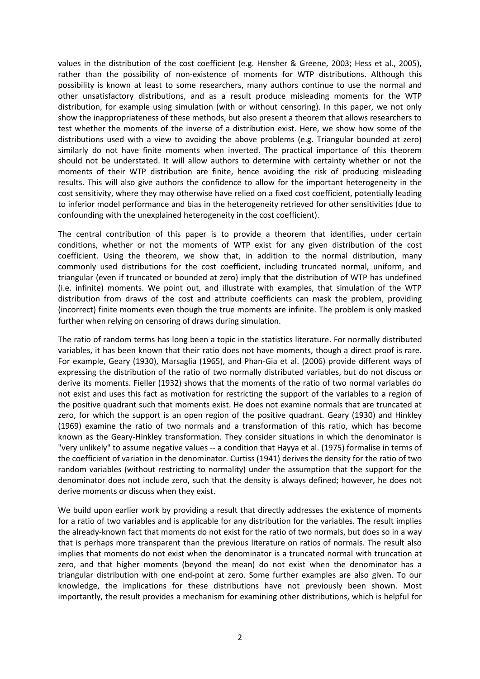values in the distribution of the cost coefficient (e.g. Hensher & Greene, 2003; Hess et al., 2005), rather than the possibility of non-existence of moments for WTP distributions. Although this possibility is known at least to some researchers, many authors continue to use the normal and other unsatisfactory distributions, and as a result produce misleading moments for the WTP distribution, for example using simulation (with or without censoring). In this paper, we not only show the inappropriateness of these methods, but also present a theorem that allows researchers to test whether the moments of the inverse of a distribution exist. Here, we show how some of the distributions used with a view to avoiding the above problems (e.g. Triangular bounded at zero) similarly do not have finite moments when inverted. The practical importance of this theorem should not be understated. It will allow authors to determine with certainty whether or not the moments of their WTP distribution are finite, hence avoiding the risk of producing misleading results. This will also give authors the confidence to allow for the important heterogeneity in the cost sensitivity, where they may otherwise have relied on a fixed cost coefficient, potentially leading to inferior model performance and bias in the heterogeneity retrieved for other sensitivities (due to confounding with the unexplained heterogeneity in the cost coefficient).

The central contribution of this paper is to provide a theorem that identifies, under certain conditions, whether or not the moments of WTP exist for any given distribution of the cost coefficient. Using the theorem, we show that, in addition to the normal distribution, many commonly used distributions for the cost coefficient, including truncated normal, uniform, and triangular (even if truncated or bounded at zero) imply that the distribution of WTP has undefined (i.e. infinite) moments. We point out, and illustrate with examples, that simulation of the WTP distribution from draws of the cost and attribute coefficients can mask the problem, providing (incorrect) finite moments even though the true moments are infinite. The problem is only masked further when relying on censoring of draws during simulation.

The ratio of random terms has long been a topic in the statistics literature. For normally distributed variables, it has been known that their ratio does not have moments, though a direct proof is rare. For example, Geary (1930), Marsaglia (1965), and Phan-Gia et al. (2006) provide different ways of expressing the distribution of the ratio of two normally distributed variables, but do not discuss or derive its moments. Fieller (1932) shows that the moments of the ratio of two normal variables do not exist and uses this fact as motivation for restricting the support of the variables to a region of the positive quadrant such that moments exist. He does not examine normals that are truncated at zero, for which the support is an open region of the positive quadrant. Geary (1930) and Hinkley (1969) examine the ratio of two normals and a transformation of this ratio, which has become known as the Geary-Hinkley transformation. They consider situations in which the denominator is "very unlikely" to assume negative values -- a condition that Hayya et al. (1975) formalise in terms of the coefficient of variation in the denominator. Curtiss (1941) derives the density for the ratio of two random variables (without restricting to normality) under the assumption that the support for the denominator does not include zero, such that the density is always defined; however, he does not derive moments or discuss when they exist.

We build upon earlier work by providing a result that directly addresses the existence of moments for a ratio of two variables and is applicable for any distribution for the variables. The result implies the already-known fact that moments do not exist for the ratio of two normals, but does so in a way that is perhaps more transparent than the previous literature on ratios of normals. The result also implies that moments do not exist when the denominator is a truncated normal with truncation at zero, and that higher moments (beyond the mean) do not exist when the denominator has a triangular distribution with one end-point at zero. Some further examples are also given. To our knowledge, the implications for these distributions have not previously been shown. Most importantly, the result provides a mechanism for examining other distributions, which is helpful for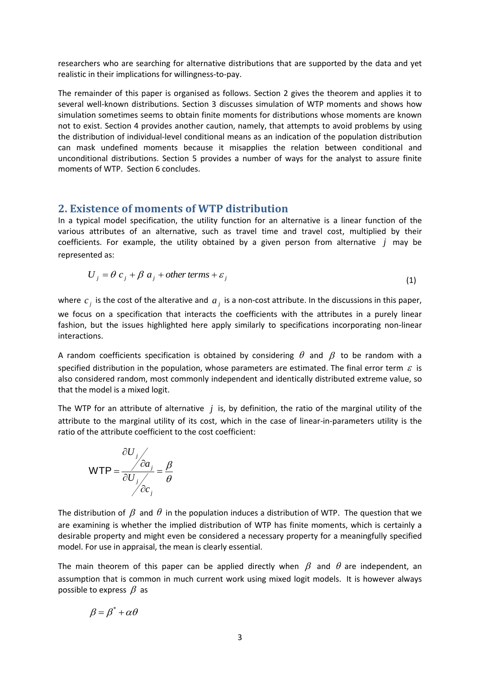researchers who are searching for alternative distributions that are supported by the data and yet realistic in their implications for willingness-to-pay.

The remainder of this paper is organised as follows. Section 2 gives the theorem and applies it to several well-known distributions. Section 3 discusses simulation of WTP moments and shows how simulation sometimes seems to obtain finite moments for distributions whose moments are known not to exist. Section 4 provides another caution, namely, that attempts to avoid problems by using the distribution of individual-level conditional means as an indication of the population distribution can mask undefined moments because it misapplies the relation between conditional and unconditional distributions. Section 5 provides a number of ways for the analyst to assure finite moments of WTP. Section 6 concludes.

### **2. Existence of moments of WTP distribution**

In a typical model specification, the utility function for an alternative is a linear function of the various attributes of an alternative, such as travel time and travel cost, multiplied by their coefficients. For example, the utility obtained by a given person from alternative *j* may be represented as:

$$
U_j = \theta \ c_j + \beta \ a_j + \text{other terms} + \varepsilon_j \tag{1}
$$

where  $c_j$  is the cost of the alterative and  $a_j$  is a non-cost attribute. In the discussions in this paper, we focus on a specification that interacts the coefficients with the attributes in a purely linear fashion, but the issues highlighted here apply similarly to specifications incorporating non-linear interactions.

A random coefficients specification is obtained by considering  $\theta$  and  $\beta$  to be random with a specified distribution in the population, whose parameters are estimated. The final error term  $\varepsilon$  is also considered random, most commonly independent and identically distributed extreme value, so that the model is a mixed logit.

The WTP for an attribute of alternative  $j$  is, by definition, the ratio of the marginal utility of the attribute to the marginal utility of its cost, which in the case of linear-in-parameters utility is the ratio of the attribute coefficient to the cost coefficient:

$$
WTP = \frac{\partial U_j}{\partial U_j / \partial c_j} = \frac{\beta}{\theta}
$$

The distribution of  $\beta$  and  $\theta$  in the population induces a distribution of WTP. The question that we are examining is whether the implied distribution of WTP has finite moments, which is certainly a desirable property and might even be considered a necessary property for a meaningfully specified model. For use in appraisal, the mean is clearly essential.

The main theorem of this paper can be applied directly when  $\beta$  and  $\theta$  are independent, an assumption that is common in much current work using mixed logit models. It is however always possible to express  $\beta$  as

$$
\beta = \beta^* + \alpha \theta
$$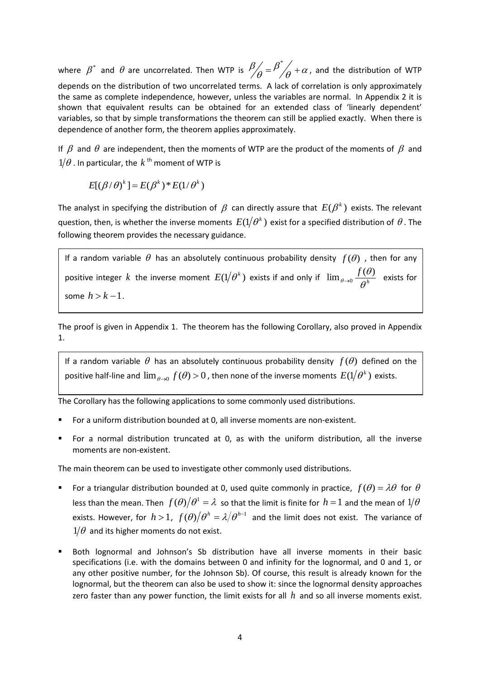where  $\beta^*$  and  $\theta$  are uncorrelated. Then WTP is  $\frac{\beta}{\beta} = \frac{\beta}{\beta} + \alpha$  $_{\beta}$  $\theta$  $\beta_{\alpha} = \beta_{\alpha}^{*} +$ , and the distribution of WTP depends on the distribution of two uncorrelated terms. A lack of correlation is only approximately the same as complete independence, however, unless the variables are normal. In Appendix 2 it is shown that equivalent results can be obtained for an extended class of 'linearly dependent' variables, so that by simple transformations the theorem can still be applied exactly. When there is dependence of another form, the theorem applies approximately.

If  $\beta$  and  $\theta$  are independent, then the moments of WTP are the product of the moments of  $\beta$  and  $1/\theta$  . In particular, the  $k$ <sup>th</sup> moment of WTP is

 $E[(\beta/\theta)^k] = E(\beta^k)^* E(1/\theta^k)$ 

The analyst in specifying the distribution of  $\,\beta\,$  can directly assure that  $\,E(\beta^k)\,$  exists. The relevant question, then, is whether the inverse moments  $E(1/\theta^k)$  exist for a specified distribution of  $\theta$ . The following theorem provides the necessary guidance.

If a random variable  $\theta$  has an absolutely continuous probability density  $f(\theta)$  , then for any positive integer k the inverse moment  $E(1/\theta^k)$  exists if and only if  $\lim_{\theta\to 0} \frac{f(t)}{\theta^h}$ *f*  $\theta$  $\theta$  $\theta$  $\lim_{\theta \to 0} \frac{f(\theta)}{\theta}$  exists for some  $h > k - 1$ .

The proof is given in Appendix 1. The theorem has the following Corollary, also proved in Appendix 1.

If a random variable  $\theta$  has an absolutely continuous probability density  $f(\theta)$  defined on the positive half-line and  $\lim_{\theta\to 0}f(\theta)\,{>}\,0$  , then none of the inverse moments  $E( \mathrm{l}/\theta^k)$  exists.

The Corollary has the following applications to some commonly used distributions.

- For a uniform distribution bounded at 0, all inverse moments are non-existent.
- For a normal distribution truncated at 0, as with the uniform distribution, all the inverse moments are non-existent.

The main theorem can be used to investigate other commonly used distributions.

- For a triangular distribution bounded at 0, used quite commonly in practice,  $f(\theta) = \lambda \theta$  for  $\theta$ less than the mean. Then  $\ f(\theta)/\theta^1 = \lambda \,$  so that the limit is finite for  $\,h=1$  and the mean of  $\,/\theta$ exists. However, for  $h > 1$ ,  $f(\theta)/\theta^h = \lambda/\theta^{h-1}$  and the limit does not exist. The variance of  $1/\theta$  and its higher moments do not exist.
- Both lognormal and Johnson's Sb distribution have all inverse moments in their basic specifications (i.e. with the domains between 0 and infinity for the lognormal, and 0 and 1, or any other positive number, for the Johnson Sb). Of course, this result is already known for the lognormal, but the theorem can also be used to show it: since the lognormal density approaches zero faster than any power function, the limit exists for all *h* and so all inverse moments exist.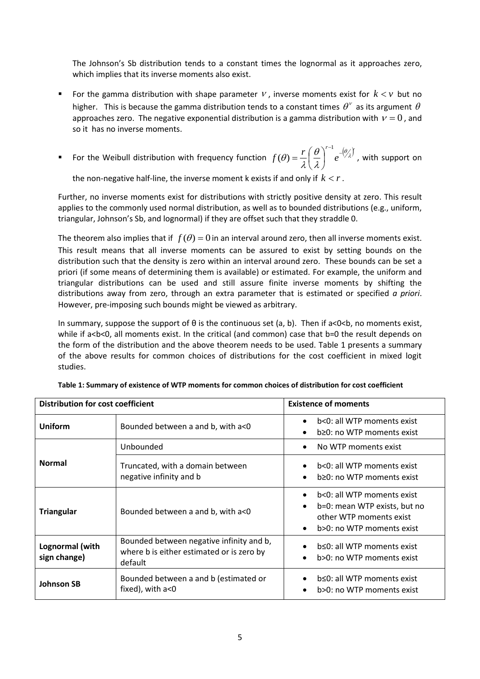The Johnson's Sb distribution tends to a constant times the lognormal as it approaches zero, which implies that its inverse moments also exist.

- For the gamma distribution with shape parameter  $\nu$ , inverse moments exist for  $k < \nu$  but no higher. This is because the gamma distribution tends to a constant times  $\theta^v$  as its argument  $\theta$ approaches zero. The negative exponential distribution is a gamma distribution with  $v = 0$  , and so it has no inverse moments.
- For the Weibull distribution with frequency function  $f(\theta) = \frac{r}{f} \left( \frac{\theta}{f} \right)^{r-1} e^{-\left(\frac{\theta}{f}\right)^r}$ *r*  $\mathscr{Y}_{\lambda}$ λ  $\theta$ λ  $(\theta) = \frac{r}{\theta} \left(\frac{\theta}{\theta}\right)^{r-1} e^{-r}$  $\overline{\phantom{a}}$ J  $\left(\frac{\theta}{a}\right)$  $\overline{\mathcal{L}}$  $=\frac{r}{\sqrt{2}}$ 1  $(\theta) = \frac{1}{\epsilon} \left| \begin{array}{c} 0 \\ -1 \end{array} \right| = e^{-\frac{1}{\sqrt{2}}t}$ , with support on

the non-negative half-line, the inverse moment k exists if and only if  $k < r$ .

Further, no inverse moments exist for distributions with strictly positive density at zero. This result applies to the commonly used normal distribution, as well as to bounded distributions (e.g., uniform, triangular, Johnson's Sb, and lognormal) if they are offset such that they straddle 0.

The theorem also implies that if  $f(\theta) = 0$  in an interval around zero, then all inverse moments exist. This result means that all inverse moments can be assured to exist by setting bounds on the distribution such that the density is zero within an interval around zero. These bounds can be set a priori (if some means of determining them is available) or estimated. For example, the uniform and triangular distributions can be used and still assure finite inverse moments by shifting the distributions away from zero, through an extra parameter that is estimated or specified *a priori*. However, pre-imposing such bounds might be viewed as arbitrary.

In summary, suppose the support of  $\theta$  is the continuous set (a, b). Then if a<0<br/>sb, no moments exist, while if  $a < b < 0$ , all moments exist. In the critical (and common) case that  $b=0$  the result depends on the form of the distribution and the above theorem needs to be used. [Table 1](#page-4-0) presents a summary of the above results for common choices of distributions for the cost coefficient in mixed logit studies.

| Distribution for cost coefficient |                                                                                                  | <b>Existence of moments</b>                                                                                                                               |  |  |  |
|-----------------------------------|--------------------------------------------------------------------------------------------------|-----------------------------------------------------------------------------------------------------------------------------------------------------------|--|--|--|
| <b>Uniform</b>                    | Bounded between a and b, with a<0                                                                | b<0: all WTP moments exist<br>$\bullet$<br>b≥0: no WTP moments exist<br>$\bullet$                                                                         |  |  |  |
|                                   | Unbounded                                                                                        | No WTP moments exist<br>$\bullet$                                                                                                                         |  |  |  |
| <b>Normal</b>                     | Truncated, with a domain between<br>negative infinity and b                                      | b<0: all WTP moments exist<br>$\bullet$<br>$b \ge 0$ : no WTP moments exist<br>$\bullet$                                                                  |  |  |  |
| <b>Triangular</b>                 | Bounded between a and b, with a<0                                                                | b<0: all WTP moments exist<br>$\bullet$<br>b=0: mean WTP exists, but no<br>$\bullet$<br>other WTP moments exist<br>b>0: no WTP moments exist<br>$\bullet$ |  |  |  |
| Lognormal (with<br>sign change)   | Bounded between negative infinity and b,<br>where b is either estimated or is zero by<br>default | $b \leq 0$ : all WTP moments exist<br>$\bullet$<br>b>0: no WTP moments exist<br>$\bullet$                                                                 |  |  |  |
| <b>Johnson SB</b>                 | Bounded between a and b (estimated or<br>fixed), with a<0                                        | b≤0: all WTP moments exist<br>$\bullet$<br>b>0: no WTP moments exist<br>$\bullet$                                                                         |  |  |  |

<span id="page-4-0"></span>**Table 1: Summary of existence of WTP moments for common choices of distribution for cost coefficient**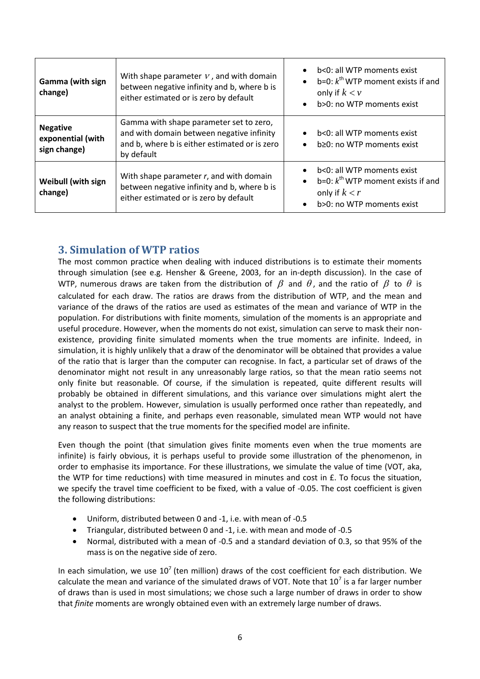| Gamma (with sign<br>change)                          | With shape parameter $\nu$ , and with domain<br>between negative infinity and b, where b is<br>either estimated or is zero by default               | b<0: all WTP moments exist<br>b=0: $k^{\text{th}}$ WTP moment exists if and<br>only if $k < v$<br>b>0: no WTP moments exist<br>$\bullet$ |
|------------------------------------------------------|-----------------------------------------------------------------------------------------------------------------------------------------------------|------------------------------------------------------------------------------------------------------------------------------------------|
| <b>Negative</b><br>exponential (with<br>sign change) | Gamma with shape parameter set to zero,<br>and with domain between negative infinity<br>and b, where b is either estimated or is zero<br>by default | b<0: all WTP moments exist<br>$\bullet$<br>b≥0: no WTP moments exist<br>$\bullet$                                                        |
| <b>Weibull (with sign</b><br>change)                 | With shape parameter $r$ , and with domain<br>between negative infinity and b, where b is<br>either estimated or is zero by default                 | b<0: all WTP moments exist<br>b=0: $k^{\text{th}}$ WTP moment exists if and<br>only if $k < r$<br>b>0: no WTP moments exist              |

# **3. Simulation of WTP ratios**

The most common practice when dealing with induced distributions is to estimate their moments through simulation (see e.g. Hensher & Greene, 2003, for an in-depth discussion). In the case of WTP, numerous draws are taken from the distribution of  $\beta$  and  $\theta$ , and the ratio of  $\beta$  to  $\theta$  is calculated for each draw. The ratios are draws from the distribution of WTP, and the mean and variance of the draws of the ratios are used as estimates of the mean and variance of WTP in the population. For distributions with finite moments, simulation of the moments is an appropriate and useful procedure. However, when the moments do not exist, simulation can serve to mask their nonexistence, providing finite simulated moments when the true moments are infinite. Indeed, in simulation, it is highly unlikely that a draw of the denominator will be obtained that provides a value of the ratio that is larger than the computer can recognise. In fact, a particular set of draws of the denominator might not result in any unreasonably large ratios, so that the mean ratio seems not only finite but reasonable. Of course, if the simulation is repeated, quite different results will probably be obtained in different simulations, and this variance over simulations might alert the analyst to the problem. However, simulation is usually performed once rather than repeatedly, and an analyst obtaining a finite, and perhaps even reasonable, simulated mean WTP would not have any reason to suspect that the true moments for the specified model are infinite.

Even though the point (that simulation gives finite moments even when the true moments are infinite) is fairly obvious, it is perhaps useful to provide some illustration of the phenomenon, in order to emphasise its importance. For these illustrations, we simulate the value of time (VOT, aka, the WTP for time reductions) with time measured in minutes and cost in £. To focus the situation, we specify the travel time coefficient to be fixed, with a value of -0.05. The cost coefficient is given the following distributions:

- Uniform, distributed between 0 and -1, i.e. with mean of -0.5
- Triangular, distributed between 0 and -1, i.e. with mean and mode of -0.5
- Normal, distributed with a mean of -0.5 and a standard deviation of 0.3, so that 95% of the mass is on the negative side of zero.

In each simulation, we use  $10<sup>7</sup>$  (ten million) draws of the cost coefficient for each distribution. We calculate the mean and variance of the simulated draws of VOT. Note that  $10^7$  is a far larger number of draws than is used in most simulations; we chose such a large number of draws in order to show that *finite* moments are wrongly obtained even with an extremely large number of draws.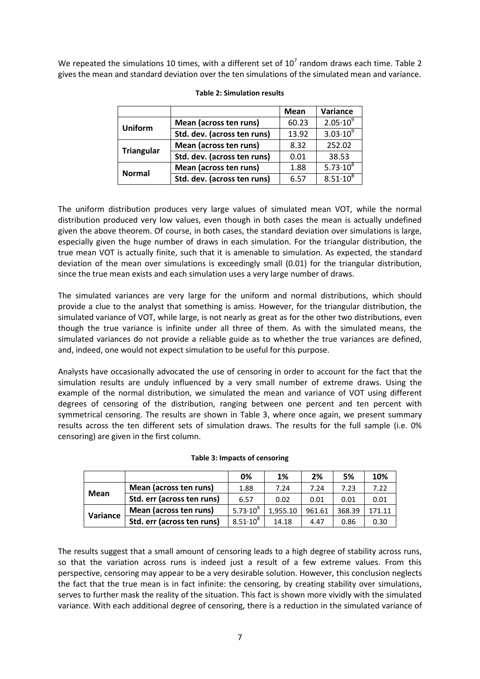<span id="page-6-0"></span>We repeated the simulations 10 times, with a different set of 10<sup>7</sup> random draws each time. [Table 2](#page-6-0) gives the mean and standard deviation over the ten simulations of the simulated mean and variance.

|                   |                             | Mean  | Variance            |
|-------------------|-----------------------------|-------|---------------------|
| <b>Uniform</b>    | Mean (across ten runs)      | 60.23 | $2.05 \cdot 10^{9}$ |
|                   | Std. dev. (across ten runs) | 13.92 | $3.03 \cdot 10^{9}$ |
|                   | Mean (across ten runs)      |       | 252.02              |
| <b>Triangular</b> | Std. dev. (across ten runs) | 0.01  | 38.53               |
| <b>Normal</b>     | Mean (across ten runs)      | 1.88  | $5.73 \cdot 10^8$   |
|                   | Std. dev. (across ten runs) | 6.57  | $8.51 \cdot 10^8$   |

#### **Table 2: Simulation results**

The uniform distribution produces very large values of simulated mean VOT, while the normal distribution produced very low values, even though in both cases the mean is actually undefined given the above theorem. Of course, in both cases, the standard deviation over simulations is large, especially given the huge number of draws in each simulation. For the triangular distribution, the true mean VOT is actually finite, such that it is amenable to simulation. As expected, the standard deviation of the mean over simulations is exceedingly small (0.01) for the triangular distribution, since the true mean exists and each simulation uses a very large number of draws.

The simulated variances are very large for the uniform and normal distributions, which should provide a clue to the analyst that something is amiss. However, for the triangular distribution, the simulated variance of VOT, while large, is not nearly as great as for the other two distributions, even though the true variance is infinite under all three of them. As with the simulated means, the simulated variances do not provide a reliable guide as to whether the true variances are defined, and, indeed, one would not expect simulation to be useful for this purpose.

Analysts have occasionally advocated the use of censoring in order to account for the fact that the simulation results are unduly influenced by a very small number of extreme draws. Using the example of the normal distribution, we simulated the mean and variance of VOT using different degrees of censoring of the distribution, ranging between one percent and ten percent with symmetrical censoring. The results are shown in [Table 3,](#page-6-1) where once again, we present summary results across the ten different sets of simulation draws. The results for the full sample (i.e. 0% censoring) are given in the first column.

<span id="page-6-1"></span>

|             |                            | 0%                | 1%       | 2%     | 5%     | 10%    |
|-------------|----------------------------|-------------------|----------|--------|--------|--------|
| <b>Mean</b> | Mean (across ten runs)     | 1.88              | 7.24     | 7.24   | 7.23   | 7.22   |
|             | Std. err (across ten runs) | 6.57              | 0.02     | 0.01   | 0.01   | 0.01   |
| Variance    | Mean (across ten runs)     | $5.73 \cdot 10^8$ | 1.955.10 | 961.61 | 368.39 | 171.11 |
|             | Std. err (across ten runs) | $8.51 \cdot 10^8$ | 14.18    | 4.47   | 0.86   | 0.30   |

#### **Table 3: Impacts of censoring**

The results suggest that a small amount of censoring leads to a high degree of stability across runs, so that the variation across runs is indeed just a result of a few extreme values. From this perspective, censoring may appear to be a very desirable solution. However, this conclusion neglects the fact that the true mean is in fact infinite: the censoring, by creating stability over simulations, serves to further mask the reality of the situation. This fact is shown more vividly with the simulated variance. With each additional degree of censoring, there is a reduction in the simulated variance of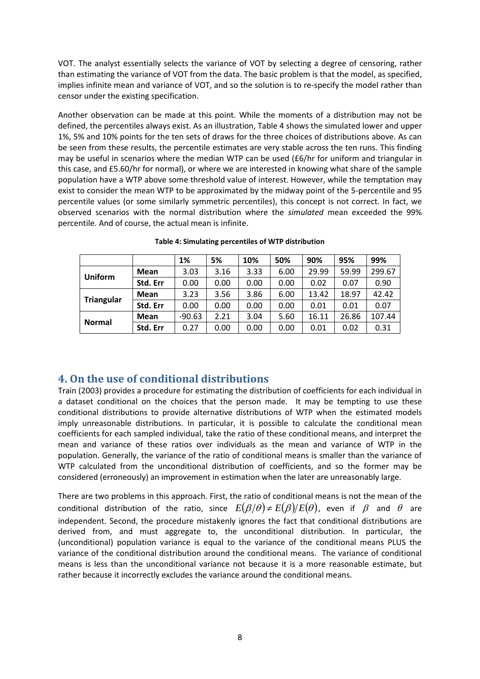VOT. The analyst essentially selects the variance of VOT by selecting a degree of censoring, rather than estimating the variance of VOT from the data. The basic problem is that the model, as specified, implies infinite mean and variance of VOT, and so the solution is to re-specify the model rather than censor under the existing specification.

Another observation can be made at this point. While the moments of a distribution may not be defined, the percentiles always exist. As an illustration, [Table 4](#page-7-0) shows the simulated lower and upper 1%, 5% and 10% points for the ten sets of draws for the three choices of distributions above. As can be seen from these results, the percentile estimates are very stable across the ten runs. This finding may be useful in scenarios where the median WTP can be used (£6/hr for uniform and triangular in this case, and £5.60/hr for normal), or where we are interested in knowing what share of the sample population have a WTP above some threshold value of interest. However, while the temptation may exist to consider the mean WTP to be approximated by the midway point of the 5-percentile and 95 percentile values (or some similarly symmetric percentiles), this concept is not correct. In fact, we observed scenarios with the normal distribution where the *simulated* mean exceeded the 99% percentile. And of course, the actual mean is infinite.

<span id="page-7-0"></span>

|                   |             | 1%       | 5%   | 10%  | 50%  | 90%   | 95%   | 99%    |
|-------------------|-------------|----------|------|------|------|-------|-------|--------|
| <b>Uniform</b>    | <b>Mean</b> | 3.03     | 3.16 | 3.33 | 6.00 | 29.99 | 59.99 | 299.67 |
|                   | Std. Err    | 0.00     | 0.00 | 0.00 | 0.00 | 0.02  | 0.07  | 0.90   |
| <b>Triangular</b> | <b>Mean</b> | 3.23     | 3.56 | 3.86 | 6.00 | 13.42 | 18.97 | 42.42  |
|                   | Std. Err    | 0.00     | 0.00 | 0.00 | 0.00 | 0.01  | 0.01  | 0.07   |
| <b>Normal</b>     | <b>Mean</b> | $-90.63$ | 2.21 | 3.04 | 5.60 | 16.11 | 26.86 | 107.44 |
|                   | Std. Err    | 0.27     | 0.00 | 0.00 | 0.00 | 0.01  | 0.02  | 0.31   |

**Table 4: Simulating percentiles of WTP distribution**

# **4. On the use of conditional distributions**

Train (2003) provides a procedure for estimating the distribution of coefficients for each individual in a dataset conditional on the choices that the person made. It may be tempting to use these conditional distributions to provide alternative distributions of WTP when the estimated models imply unreasonable distributions. In particular, it is possible to calculate the conditional mean coefficients for each sampled individual, take the ratio of these conditional means, and interpret the mean and variance of these ratios over individuals as the mean and variance of WTP in the population. Generally, the variance of the ratio of conditional means is smaller than the variance of WTP calculated from the unconditional distribution of coefficients, and so the former may be considered (erroneously) an improvement in estimation when the later are unreasonably large.

There are two problems in this approach. First, the ratio of conditional means is not the mean of the conditional distribution of the ratio, since  $E(\beta/\theta) \neq E(\beta)/E(\theta)$ , even if  $\beta$  and  $\theta$  are independent. Second, the procedure mistakenly ignores the fact that conditional distributions are derived from, and must aggregate to, the unconditional distribution. In particular, the (unconditional) population variance is equal to the variance of the conditional means PLUS the variance of the conditional distribution around the conditional means. The variance of conditional means is less than the unconditional variance not because it is a more reasonable estimate, but rather because it incorrectly excludes the variance around the conditional means.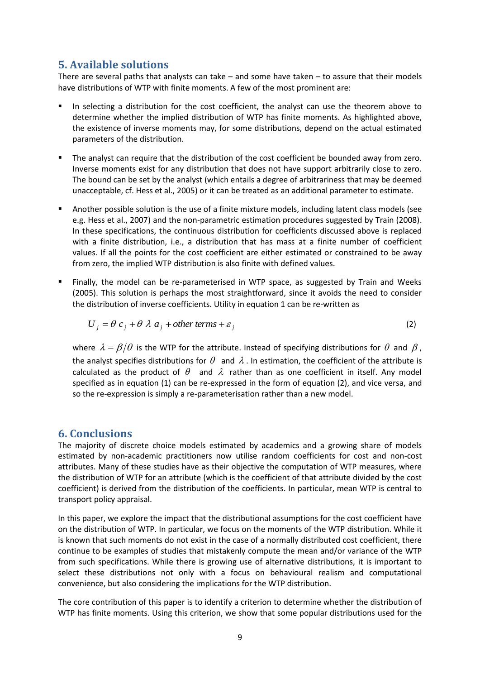# **5. Available solutions**

There are several paths that analysts can take  $-$  and some have taken  $-$  to assure that their models have distributions of WTP with finite moments. A few of the most prominent are:

- In selecting a distribution for the cost coefficient, the analyst can use the theorem above to determine whether the implied distribution of WTP has finite moments. As highlighted above, the existence of inverse moments may, for some distributions, depend on the actual estimated parameters of the distribution.
- The analyst can require that the distribution of the cost coefficient be bounded away from zero. Inverse moments exist for any distribution that does not have support arbitrarily close to zero. The bound can be set by the analyst (which entails a degree of arbitrariness that may be deemed unacceptable, cf. Hess et al., 2005) or it can be treated as an additional parameter to estimate.
- Another possible solution is the use of a finite mixture models, including latent class models (see e.g. Hess et al., 2007) and the non-parametric estimation procedures suggested by Train (2008). In these specifications, the continuous distribution for coefficients discussed above is replaced with a finite distribution, i.e., a distribution that has mass at a finite number of coefficient values. If all the points for the cost coefficient are either estimated or constrained to be away from zero, the implied WTP distribution is also finite with defined values.
- Finally, the model can be re-parameterised in WTP space, as suggested by Train and Weeks (2005). This solution is perhaps the most straightforward, since it avoids the need to consider the distribution of inverse coefficients. Utility in equation 1 can be re-written as

$$
U_j = \theta \ c_j + \theta \ \lambda \ a_j + \text{other terms} + \varepsilon_j \tag{2}
$$

where  $\lambda = \beta/\theta$  is the WTP for the attribute. Instead of specifying distributions for  $\theta$  and  $\beta$ , the analyst specifies distributions for  $\theta$  and  $\lambda$  . In estimation, the coefficient of the attribute is calculated as the product of  $\theta$  and  $\lambda$  rather than as one coefficient in itself. Any model specified as in equation (1) can be re-expressed in the form of equation (2), and vice versa, and so the re-expression is simply a re-parameterisation rather than a new model.

# **6. Conclusions**

The majority of discrete choice models estimated by academics and a growing share of models estimated by non-academic practitioners now utilise random coefficients for cost and non-cost attributes. Many of these studies have as their objective the computation of WTP measures, where the distribution of WTP for an attribute (which is the coefficient of that attribute divided by the cost coefficient) is derived from the distribution of the coefficients. In particular, mean WTP is central to transport policy appraisal.

In this paper, we explore the impact that the distributional assumptions for the cost coefficient have on the distribution of WTP. In particular, we focus on the moments of the WTP distribution. While it is known that such moments do not exist in the case of a normally distributed cost coefficient, there continue to be examples of studies that mistakenly compute the mean and/or variance of the WTP from such specifications. While there is growing use of alternative distributions, it is important to select these distributions not only with a focus on behavioural realism and computational convenience, but also considering the implications for the WTP distribution.

The core contribution of this paper is to identify a criterion to determine whether the distribution of WTP has finite moments. Using this criterion, we show that some popular distributions used for the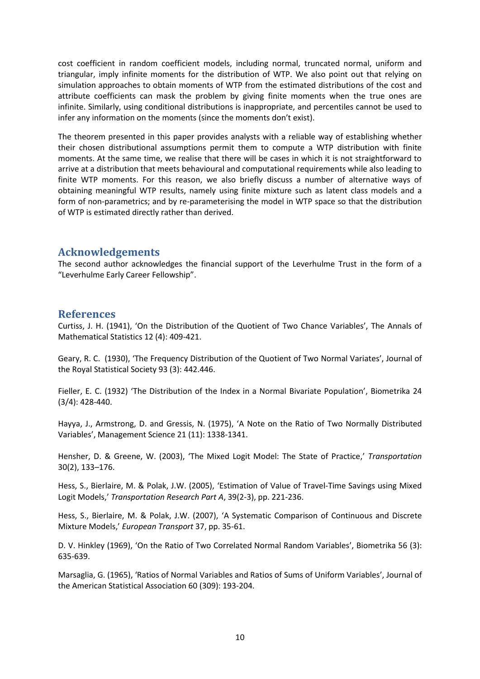cost coefficient in random coefficient models, including normal, truncated normal, uniform and triangular, imply infinite moments for the distribution of WTP. We also point out that relying on simulation approaches to obtain moments of WTP from the estimated distributions of the cost and attribute coefficients can mask the problem by giving finite moments when the true ones are infinite. Similarly, using conditional distributions is inappropriate, and percentiles cannot be used to infer any information on the moments (since the moments don't exist).

The theorem presented in this paper provides analysts with a reliable way of establishing whether their chosen distributional assumptions permit them to compute a WTP distribution with finite moments. At the same time, we realise that there will be cases in which it is not straightforward to arrive at a distribution that meets behavioural and computational requirements while also leading to finite WTP moments. For this reason, we also briefly discuss a number of alternative ways of obtaining meaningful WTP results, namely using finite mixture such as latent class models and a form of non-parametrics; and by re-parameterising the model in WTP space so that the distribution of WTP is estimated directly rather than derived.

## **Acknowledgements**

The second author acknowledges the financial support of the Leverhulme Trust in the form of a "Leverhulme Early Career Fellowship".

## **References**

Curtiss, J. H. (1941), 'On the Distribution of the Quotient of Two Chance Variables', The Annals of Mathematical Statistics 12 (4): 409-421.

Geary, R. C. (1930), 'The Frequency Distribution of the Quotient of Two Normal Variates', Journal of the Royal Statistical Society 93 (3): 442.446.

Fieller, E. C. (1932) 'The Distribution of the Index in a Normal Bivariate Population', Biometrika 24 (3/4): 428-440.

Hayya, J., Armstrong, D. and Gressis, N. (1975), 'A Note on the Ratio of Two Normally Distributed Variables', Management Science 21 (11): 1338-1341.

Hensher, D. & Greene, W. (2003), 'The Mixed Logit Model: The State of Practice,' *Transportation*  30(2), 133–176.

Hess, S., Bierlaire, M. & Polak, J.W. (2005), 'Estimation of Value of Travel-Time Savings using Mixed Logit Models,' *Transportation Research Part A*, 39(2-3), pp. 221-236.

Hess, S., Bierlaire, M. & Polak, J.W. (2007), 'A Systematic Comparison of Continuous and Discrete Mixture Models,' *European Transport* 37, pp. 35-61.

D. V. Hinkley (1969), 'On the Ratio of Two Correlated Normal Random Variables', Biometrika 56 (3): 635-639.

Marsaglia, G. (1965), 'Ratios of Normal Variables and Ratios of Sums of Uniform Variables', Journal of the American Statistical Association 60 (309): 193-204.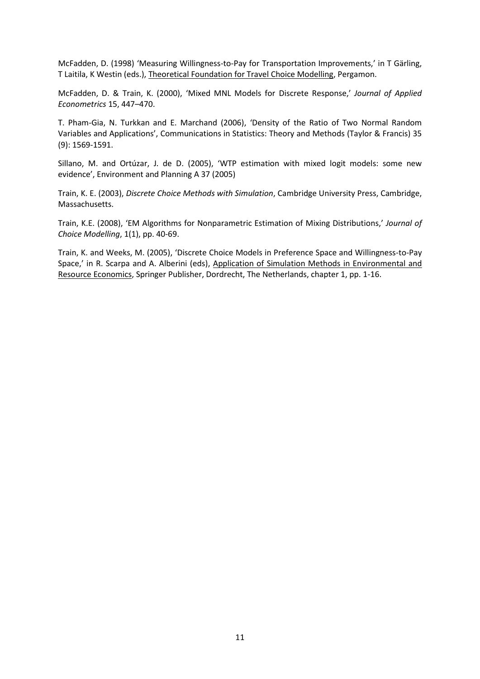McFadden, D. (1998) 'Measuring Willingness-to-Pay for Transportation Improvements,' in T Gärling, T Laitila, K Westin (eds.), Theoretical Foundation for Travel Choice Modelling, Pergamon.

McFadden, D. & Train, K. (2000), 'Mixed MNL Models for Discrete Response,' *Journal of Applied Econometrics* 15, 447–470.

T. Pham-Gia, N. Turkkan and E. Marchand (2006), 'Density of the Ratio of Two Normal Random Variables and Applications', Communications in Statistics: Theory and Methods (Taylor & Francis) 35 (9): 1569-1591.

Sillano, M. and Ortúzar, J. de D. (2005), 'WTP estimation with mixed logit models: some new evidence', Environment and Planning A 37 (2005)

Train, K. E. (2003), *Discrete Choice Methods with Simulation*, Cambridge University Press, Cambridge, Massachusetts.

Train, K.E. (2008), 'EM Algorithms for Nonparametric Estimation of Mixing Distributions,' *Journal of Choice Modelling*, 1(1), pp. 40-69.

Train, K. and Weeks, M. (2005), 'Discrete Choice Models in Preference Space and Willingness-to-Pay Space,' in R. Scarpa and A. Alberini (eds), Application of Simulation Methods in Environmental and Resource Economics, Springer Publisher, Dordrecht, The Netherlands, chapter 1, pp. 1-16.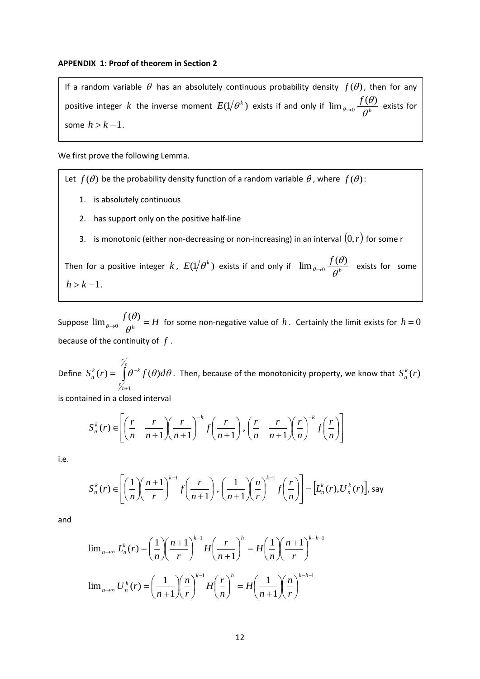If a random variable  $\theta$  has an absolutely continuous probability density  $f(\theta)$ , then for any positive integer k the inverse moment  $E(1/\theta^k)$  exists if and only if  $\lim_{\theta\to 0} \frac{f(t)}{\theta^h}$ *f*  $\theta$  $\theta$  $\theta$  $\lim_{\theta \to 0} \frac{f(\theta)}{\theta^h}$  exists for some  $h > k - 1$ .

We first prove the following Lemma.

Let  $f(\theta)$  be the probability density function of a random variable  $\theta$  , where  $f(\theta)$ :

- 1. is absolutely continuous
- 2. has support only on the positive half-line
- 3. is monotonic (either non-decreasing or non-increasing) in an interval  $(0,r)$  for some r

Then for a positive integer  $k$ ,  $E(1/\theta^k)$  exists if and only if  $\lim_{\theta\to 0} \frac{f(t)}{\theta^h}$ *f*  $\theta$  $\theta$  $\theta$  $\lim_{\theta \to 0} \frac{f(\theta)}{\theta}$  exists for some  $h > k - 1$ .

Suppose  $\lim_{\theta \to 0} \frac{f(\theta)}{f(\theta)} = H$  $\rightarrow 0$   $\frac{J(0)}{\theta^{h}}$  =  $\theta$  $\theta$  $\lim_{\theta\to 0} \frac{f(\theta)}{\theta^{h}} = H$  for some non-negative value of  $h$ . Certainly the limit exists for  $h = 0$ because of the continuity of *f* .

Define  $S_n^k(r) = \int \theta^{-r}$  $^{+}$ *n r n r*  $S_n^k(r) = \int \theta^{-k} f(\theta) d\theta$ . Then, because of the monotonicity property, we know that  $S_n^k(r)$ 1 *n*

is contained in a closed interval

$$
S_n^k(r) \in \left[ \left( \frac{r}{n} - \frac{r}{n+1} \right) \left( \frac{r}{n+1} \right)^{-k} f\left( \frac{r}{n+1} \right), \left( \frac{r}{n} - \frac{r}{n+1} \right) \left( \frac{r}{n} \right)^{-k} f\left( \frac{r}{n} \right) \right]
$$

i.e.

$$
S_n^k(r) \in \left[ \left( \frac{1}{n} \right) \left( \frac{n+1}{r} \right)^{k-1} f \left( \frac{r}{n+1} \right), \left( \frac{1}{n+1} \right) \left( \frac{n}{r} \right)^{k-1} f \left( \frac{r}{n} \right) \right] = \left[ L_n^k(r), U_n^k(r) \right], \text{ say}
$$

and

$$
\lim_{n \to \infty} L_n^k(r) = \left(\frac{1}{n}\right) \left(\frac{n+1}{r}\right)^{k-1} H\left(\frac{r}{n+1}\right)^h = H\left(\frac{1}{n}\right) \left(\frac{n+1}{r}\right)^{k-h-1}
$$

$$
\lim_{n \to \infty} U_n^k(r) = \left(\frac{1}{n+1}\right) \left(\frac{n}{r}\right)^{k-1} H\left(\frac{r}{n}\right)^h = H\left(\frac{1}{n+1}\right) \left(\frac{n}{r}\right)^{k-h-1}
$$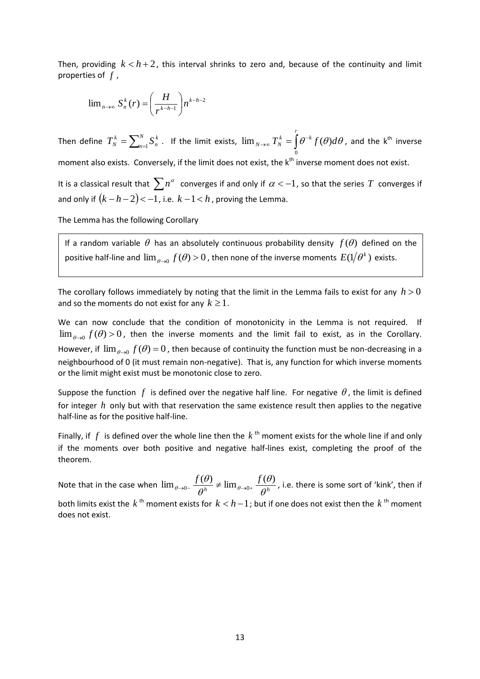Then, providing  $k < h+2$ , this interval shrinks to zero and, because of the continuity and limit properties of *f* ,

$$
\lim_{n\to\infty} S_n^k(r) = \left(\frac{H}{r^{k-h-1}}\right) n^{k-h-2}
$$

Then define  $T^{\,k}_N = \sum_{n=1}^N$ *n k n*  $T_{N}^{k} = \sum_{n=1}^{N} S_{n}^{k}$  . If the limit exists,  $\lim_{N \to \infty} T_{N}^{k} = \int \theta^{-1}$  $\rightarrow \infty$   $T^{\,k}_N =$ *r*  $\lim_{N\to\infty} T_N^k = \int \theta^{-k} f(\theta) d\theta$  , and the k<sup>th</sup> inverse  $\mathbf 0$ moment also exists. Conversely, if the limit does not exist, the  $k<sup>th</sup>$  inverse moment does not exist. It is a classical result that  $\sum n^\alpha$  converges if and only if  $\alpha < -1$ , so that the series  $T$  converges if and only if  $(k - h - 2) < -1$  , i.e.  $k - 1 < h$  , proving the Lemma.

The Lemma has the following Corollary

If a random variable  $\theta$  has an absolutely continuous probability density  $f(\theta)$  defined on the positive half-line and  $\lim_{\theta\to 0}f(\theta)\,{>}\,0$  , then none of the inverse moments  $E( \mathrm{l}/\theta^k)$  exists.

The corollary follows immediately by noting that the limit in the Lemma fails to exist for any  $h > 0$ and so the moments do not exist for any  $k \geq 1$ .

We can now conclude that the condition of monotonicity in the Lemma is not required. If  $\lim_{\theta\to 0} f(\theta) > 0$ , then the inverse moments and the limit fail to exist, as in the Corollary. However, if  $\lim_{\theta\to 0} f(\theta)$  = 0, then because of continuity the function must be non-decreasing in a neighbourhood of 0 (it must remain non-negative). That is, any function for which inverse moments or the limit might exist must be monotonic close to zero.

Suppose the function  $f$  is defined over the negative half line. For negative  $\theta$ , the limit is defined for integer h only but with that reservation the same existence result then applies to the negative half-line as for the positive half-line.

Finally, if  $f$  is defined over the whole line then the  $k^{\text{th}}$  moment exists for the whole line if and only if the moments over both positive and negative half-lines exist, completing the proof of the theorem.

Note that in the case when  $\lim_{\theta \to 0^-} \frac{f(x)}{h} \neq \lim_{\theta \to 0^+} \frac{f(x)}{h}$  $f(\theta)$  *f f f*  $\theta$  $\theta$  $\theta$  $\theta$  $\theta \rightarrow 0^ \theta$   $\rightarrow \theta$   $\rightarrow \theta$  $\lim_{\theta\to 0^-}\frac{f(\theta)}{\theta^h}\neq \lim_{\theta\to 0^+}\frac{f(\theta)}{\theta^h}$ , i.e. there is some sort of 'kink', then if both limits exist the  $k$  <sup>th</sup> moment exists for  $k < h-1$  ; but if one does not exist then the  $k$  <sup>th</sup> moment does not exist.